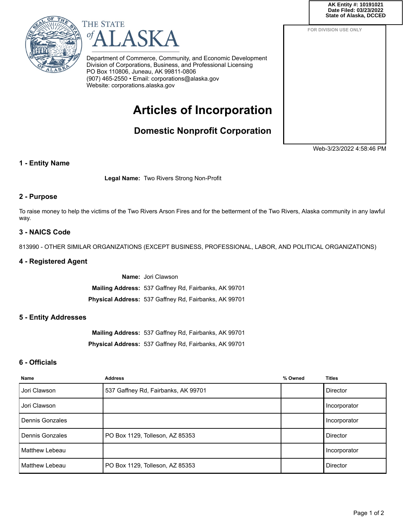**COR State of Alaska, DCCEDAK Entity #: 10191021 Date Filed: 03/23/2022**

**FOR DIVISION USE ONLY**





Department of Commerce, Community, and Economic Development Division of Corporations, Business, and Professional Licensing PO Box 110806, Juneau, AK 99811-0806 (907) 465-2550 • Email: corporations@alaska.gov Website: corporations.alaska.gov

# **Articles of Incorporation**

**Domestic Nonprofit Corporation**

Web-3/23/2022 4:58:46 PM

## **1 - Entity Name**

**Legal Name:** Two Rivers Strong Non-Profit

## **2 - Purpose**

To raise money to help the victims of the Two Rivers Arson Fires and for the betterment of the Two Rivers, Alaska community in any lawful way.

## **3 - NAICS Code**

813990 - OTHER SIMILAR ORGANIZATIONS (EXCEPT BUSINESS, PROFESSIONAL, LABOR, AND POLITICAL ORGANIZATIONS)

#### **4 - Registered Agent**

**Name:** Jori Clawson **Mailing Address:** 537 Gaffney Rd, Fairbanks, AK 99701 **Physical Address:** 537 Gaffney Rd, Fairbanks, AK 99701

#### **5 - Entity Addresses**

**Mailing Address:** 537 Gaffney Rd, Fairbanks, AK 99701 **Physical Address:** 537 Gaffney Rd, Fairbanks, AK 99701

### **6 - Officials**

| <b>Name</b>     | <b>Address</b>                      | % Owned | <b>Titles</b>   |
|-----------------|-------------------------------------|---------|-----------------|
| Jori Clawson    | 537 Gaffney Rd, Fairbanks, AK 99701 |         | <b>Director</b> |
| Jori Clawson    |                                     |         | Incorporator    |
| Dennis Gonzales |                                     |         | Incorporator    |
| Dennis Gonzales | PO Box 1129, Tolleson, AZ 85353     |         | <b>Director</b> |
| Matthew Lebeau  |                                     |         | Incorporator    |
| Matthew Lebeau  | PO Box 1129, Tolleson, AZ 85353     |         | <b>Director</b> |